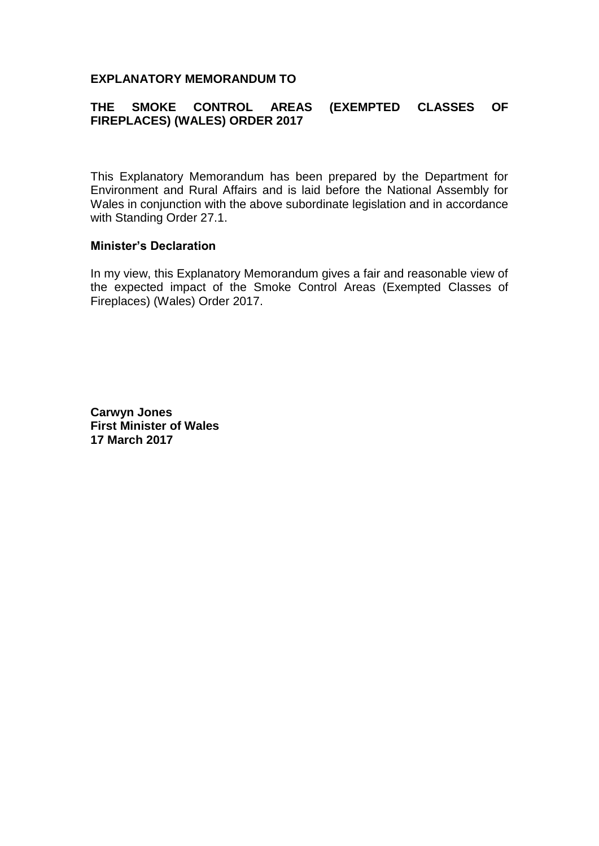#### **EXPLANATORY MEMORANDUM TO**

### **THE SMOKE CONTROL AREAS (EXEMPTED CLASSES OF FIREPLACES) (WALES) ORDER 2017**

This Explanatory Memorandum has been prepared by the Department for Environment and Rural Affairs and is laid before the National Assembly for Wales in conjunction with the above subordinate legislation and in accordance with Standing Order 27.1.

#### **Minister's Declaration**

In my view, this Explanatory Memorandum gives a fair and reasonable view of the expected impact of the Smoke Control Areas (Exempted Classes of Fireplaces) (Wales) Order 2017.

**Carwyn Jones First Minister of Wales 17 March 2017**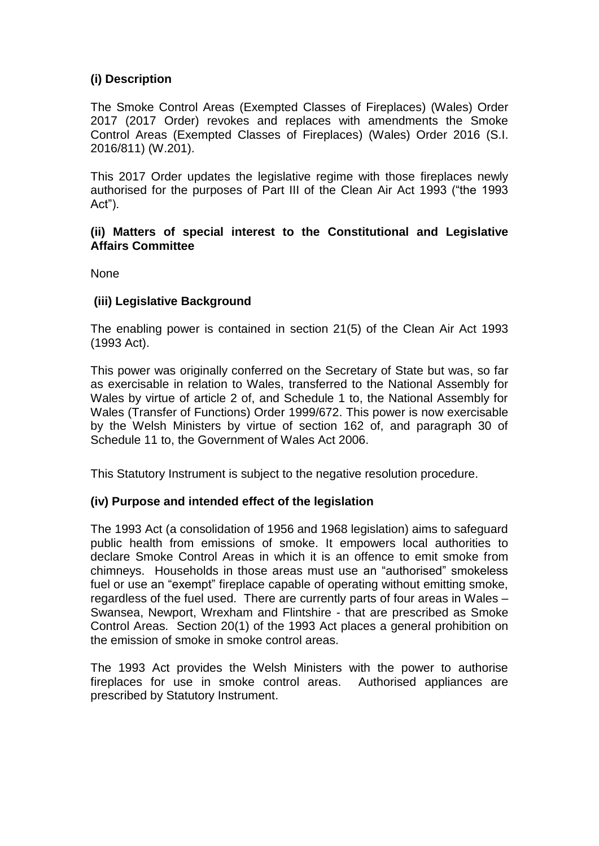## **(i) Description**

The Smoke Control Areas (Exempted Classes of Fireplaces) (Wales) Order 2017 (2017 Order) revokes and replaces with amendments the Smoke Control Areas (Exempted Classes of Fireplaces) (Wales) Order 2016 (S.I. 2016/811) (W.201).

This 2017 Order updates the legislative regime with those fireplaces newly authorised for the purposes of Part III of the Clean Air Act 1993 ("the 1993 Act").

### **(ii) Matters of special interest to the Constitutional and Legislative Affairs Committee**

None

### **(iii) Legislative Background**

The enabling power is contained in section 21(5) of the Clean Air Act 1993 (1993 Act).

This power was originally conferred on the Secretary of State but was, so far as exercisable in relation to Wales, transferred to the National Assembly for Wales by virtue of article 2 of, and Schedule 1 to, the National Assembly for Wales (Transfer of Functions) Order 1999/672. This power is now exercisable by the Welsh Ministers by virtue of section 162 of, and paragraph 30 of Schedule 11 to, the Government of Wales Act 2006.

This Statutory Instrument is subject to the negative resolution procedure.

### **(iv) Purpose and intended effect of the legislation**

The 1993 Act (a consolidation of 1956 and 1968 legislation) aims to safeguard public health from emissions of smoke. It empowers local authorities to declare Smoke Control Areas in which it is an offence to emit smoke from chimneys. Households in those areas must use an "authorised" smokeless fuel or use an "exempt" fireplace capable of operating without emitting smoke, regardless of the fuel used. There are currently parts of four areas in Wales – Swansea, Newport, Wrexham and Flintshire - that are prescribed as Smoke Control Areas. Section 20(1) of the 1993 Act places a general prohibition on the emission of smoke in smoke control areas.

The 1993 Act provides the Welsh Ministers with the power to authorise fireplaces for use in smoke control areas. Authorised appliances are prescribed by Statutory Instrument.